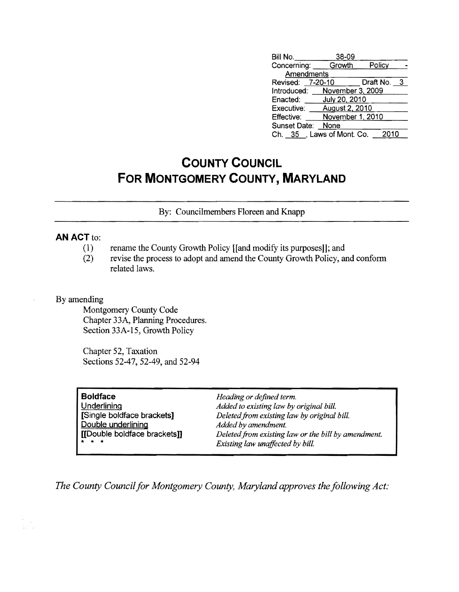| Bill No.                     | 38-09            |             |
|------------------------------|------------------|-------------|
| Concerning: Growth           |                  | Policy      |
| <b>Amendments</b>            |                  |             |
| Revised: 7-20-10             |                  | Draft No. 3 |
| Introduced: November 3, 2009 |                  |             |
| Enacted:                     | July 20, 2010    |             |
| Executive:                   | August 2, 2010   |             |
| Effective:                   | November 1, 2010 |             |
| Sunset Date:                 | None             |             |
| Ch. 35, Laws of Mont. Co.    |                  | 2010        |

## **COUNTY COUNCIL FOR MONTGOMERY COUNTY, MARYLAND**

By: Councilmembers Floreen and Knapp

## **AN ACT to:**

- (1) rename the County Growth Policy Hand modify its purposes]]; and
- (2) revise the process to adopt and amend the County Growth Policy, and confonn related laws.

By amending

Montgomery County Code Chapter 33A, Planning Procedures. Section 33A-15, Growth Policy

Chapter 52, Taxation Sections 52-47, 52-49, and 52-94

| <b>Boldface</b><br><b>Underlining</b><br>Single boldface brackets]<br>Double underlining | Heading or defined term.<br>Added to existing law by original bill.<br>Deleted from existing law by original bill.<br>Added by amendment. |
|------------------------------------------------------------------------------------------|-------------------------------------------------------------------------------------------------------------------------------------------|
| [[Double boldface brackets]]<br>$\star$ $\star$ $\star$                                  | Deleted from existing law or the bill by amendment.<br>Existing law unaffected by bill.                                                   |

*The County Council for Montgomery County, Maryland approves the following Act:*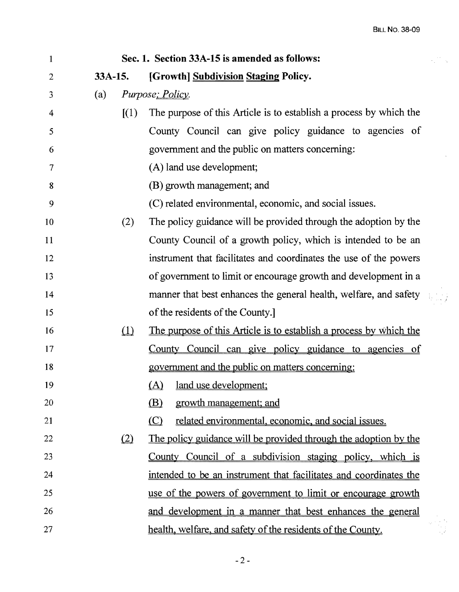$\frac{1}{2} \frac{d\theta}{d\theta}$  .

| $\mathbf{1}$   |           | Sec. 1. Section 33A-15 is amended as follows:                                       |  |
|----------------|-----------|-------------------------------------------------------------------------------------|--|
| $\overline{2}$ | $33A-15.$ | [Growth] Subdivision Staging Policy.                                                |  |
| 3              | (a)       | <i>Purpose</i> ; <i>Policy</i> .                                                    |  |
| 4              |           | The purpose of this Article is to establish a process by which the<br>(1)           |  |
| 5              |           | County Council can give policy guidance to agencies of                              |  |
| 6              |           | government and the public on matters concerning:                                    |  |
| 7              |           | (A) land use development;                                                           |  |
| 8              |           | (B) growth management; and                                                          |  |
| 9              |           | (C) related environmental, economic, and social issues.                             |  |
| 10             |           | The policy guidance will be provided through the adoption by the<br>(2)             |  |
| 11             |           | County Council of a growth policy, which is intended to be an                       |  |
| 12             |           | instrument that facilitates and coordinates the use of the powers                   |  |
| 13             |           | of government to limit or encourage growth and development in a                     |  |
| 14             |           | manner that best enhances the general health, welfare, and safety                   |  |
| 15             |           | of the residents of the County.                                                     |  |
| 16             |           | $\Box$<br><u>The purpose of this Article is to establish a process by which the</u> |  |
| 17             |           | County Council can give policy guidance to agencies of                              |  |
| 18             |           | government and the public on matters concerning:                                    |  |
| 19             |           | land use development;<br><u>(A)</u>                                                 |  |
| 20             |           | (B)<br>growth management; and                                                       |  |
| 21             |           | related environmental, economic, and social issues.<br>(C)                          |  |
| 22             | (2)       | The policy guidance will be provided through the adoption by the                    |  |
| 23             |           | County Council of a subdivision staging policy, which is                            |  |
| 24             |           | intended to be an instrument that facilitates and coordinates the                   |  |
| 25             |           | use of the powers of government to limit or encourage growth                        |  |
| 26             |           | and development in a manner that best enhances the general                          |  |
| 27             |           | health, welfare, and safety of the residents of the County.                         |  |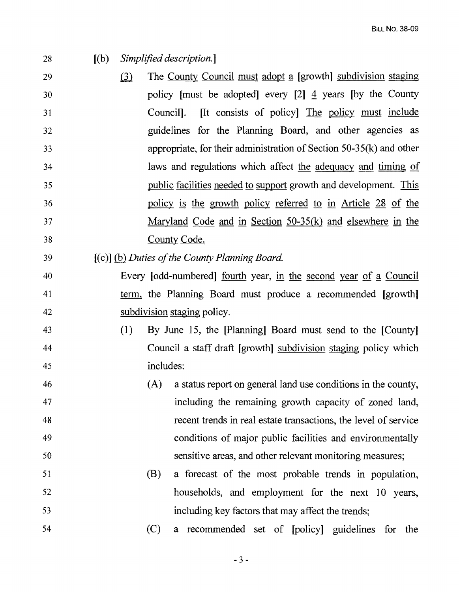28 [(b) *Simplified description.]* 

- 29 **induces (3)** The County Council must adopt a [growth] subdivision staging 30 policy [must be adopted] every [2]  $\frac{4}{3}$  years [by the County 31 Council]. **[It** consists of policy] The policy must include 32 guidelines for the Planning Board, and other agencies as 33 appropriate, for their administration of Section 50-35(k) and other 34 laws and regulations which affect the adequacy and timing of 35 public facilities needed to support growth and development. This 36 policy is the growth policy referred to in Article 28 of the 37 Maryland Code and in Section 50-35(k) and elsewhere in the 38 County Code.
- 39 [(c)] *(hlDuties o/the County Planning Board.*
- 40 Every [odd-numbered] fourth year, in the second year of a Council 41 term, the Planning Board must produce a recommended [growth] 42 subdivision staging policy.
- 43 (1) By June 15, the [Planning] Board must send to the [County] 44 Council a staff draft [growth] subdivision staging policy which 45 includes:
- 46 (A) a status report on general land use conditions in the county, 47 including the remaining growth capacity of zoned land, 48 recent trends in real estate transactions, the level of service 49 conditions of major public facilities and environmentally 50 sensitive areas, and other relevant monitoring measures;
- 51 (B) a forecast of the most probable trends in population, 52 households, and employment for the next 10 years, 53 including key factors that may affect the trends;
- 54 (C) a recommended set of [policy] guidelines for the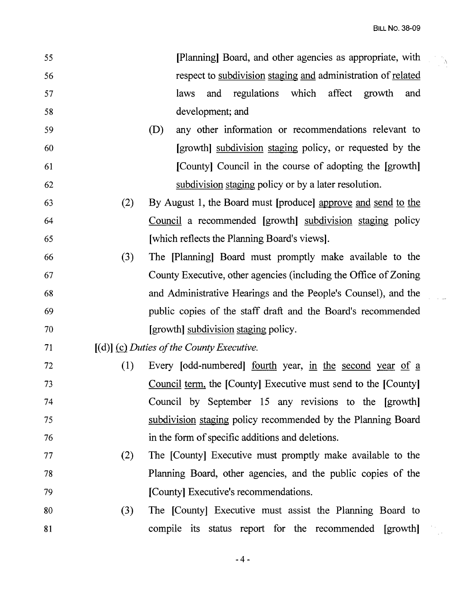$\label{eq:2} \frac{1}{\sqrt{2}}\sum_{i=1}^{n} \frac{1}{\sqrt{2}}\sum_{j=1}^{n} \frac{1}{\sqrt{2}}\sum_{j=1}^{n} \frac{1}{\sqrt{2}}\sum_{j=1}^{n} \frac{1}{\sqrt{2}}\sum_{j=1}^{n} \frac{1}{\sqrt{2}}\sum_{j=1}^{n} \frac{1}{\sqrt{2}}\sum_{j=1}^{n} \frac{1}{\sqrt{2}}\sum_{j=1}^{n} \frac{1}{\sqrt{2}}\sum_{j=1}^{n} \frac{1}{\sqrt{2}}\sum_{j=1}^{n} \frac{1}{\sqrt{2}}\sum_{$ 

| 55 |     | [Planning] Board, and other agencies as appropriate, with        |
|----|-----|------------------------------------------------------------------|
| 56 |     | respect to subdivision staging and administration of related     |
| 57 |     | which affect growth<br>regulations<br>laws<br>and<br>and         |
| 58 |     | development; and                                                 |
| 59 |     | any other information or recommendations relevant to<br>(D)      |
| 60 |     | [growth] subdivision staging policy, or requested by the         |
| 61 |     | [County] Council in the course of adopting the [growth]          |
| 62 |     | subdivision staging policy or by a later resolution.             |
| 63 | (2) | By August 1, the Board must [produce] approve and send to the    |
| 64 |     | Council a recommended [growth] subdivision staging policy        |
| 65 |     | [which reflects the Planning Board's views].                     |
| 66 | (3) | The [Planning] Board must promptly make available to the         |
| 67 |     | County Executive, other agencies (including the Office of Zoning |
| 68 |     | and Administrative Hearings and the People's Counsel), and the   |
| 69 |     | public copies of the staff draft and the Board's recommended     |
| 70 |     | [growth] subdivision staging policy.                             |
| 71 |     | $[(d)]$ (c) Duties of the County Executive.                      |
| 72 | (1) | Every [odd-numbered] <u>fourth</u> year, in the second year of a |
| 73 |     | Council term, the [County] Executive must send to the [County]   |
| 74 |     | Council by September 15 any revisions to the [growth]            |
| 75 |     | subdivision staging policy recommended by the Planning Board     |
| 76 |     | in the form of specific additions and deletions.                 |
| 77 | (2) | The [County] Executive must promptly make available to the       |
| 78 |     | Planning Board, other agencies, and the public copies of the     |
| 79 |     | [County] Executive's recommendations.                            |
| 80 | (3) | The [County] Executive must assist the Planning Board to         |
| 81 |     | compile its status report for the recommended [growth]           |
|    |     |                                                                  |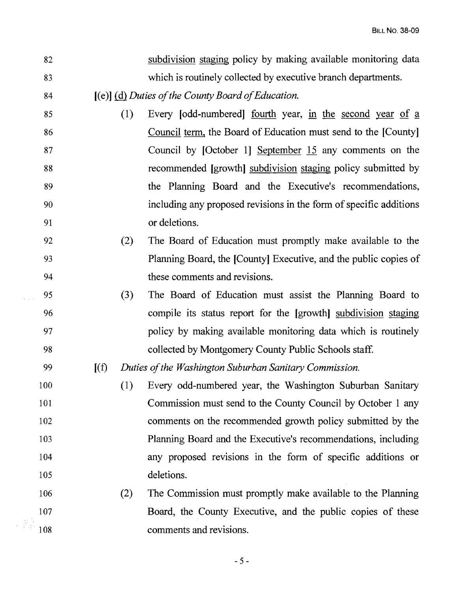| 82  |         | subdivision staging policy by making available monitoring data     |
|-----|---------|--------------------------------------------------------------------|
| 83  |         | which is routinely collected by executive branch departments.      |
| 84  |         | $[(e)]$ (d) Duties of the County Board of Education.               |
| 85  | (1)     | Every [odd-numbered] <u>fourth</u> year, in the second year of a   |
| 86  |         | Council term, the Board of Education must send to the [County]     |
| 87  |         | Council by [October 1] September 15 any comments on the            |
| 88  |         | recommended [growth] subdivision staging policy submitted by       |
| 89  |         | the Planning Board and the Executive's recommendations,            |
| 90  |         | including any proposed revisions in the form of specific additions |
| 91  |         | or deletions.                                                      |
| 92  | (2)     | The Board of Education must promptly make available to the         |
| 93  |         | Planning Board, the [County] Executive, and the public copies of   |
| 94  |         | these comments and revisions.                                      |
| 95  | (3)     | The Board of Education must assist the Planning Board to           |
| 96  |         | compile its status report for the [growth] subdivision staging     |
| 97  |         | policy by making available monitoring data which is routinely      |
| 98  |         | collected by Montgomery County Public Schools staff.               |
| 99  | $[$ (f) | Duties of the Washington Suburban Sanitary Commission.             |
| 100 | (1)     | Every odd-numbered year, the Washington Suburban Sanitary          |
| 101 |         | Commission must send to the County Council by October 1 any        |
| 102 |         | comments on the recommended growth policy submitted by the         |
| 103 |         | Planning Board and the Executive's recommendations, including      |
| 104 |         | any proposed revisions in the form of specific additions or        |
| 105 |         | deletions.                                                         |
| 106 | (2)     | The Commission must promptly make available to the Planning        |
| 107 |         | Board, the County Executive, and the public copies of these        |
| 108 |         | comments and revisions.                                            |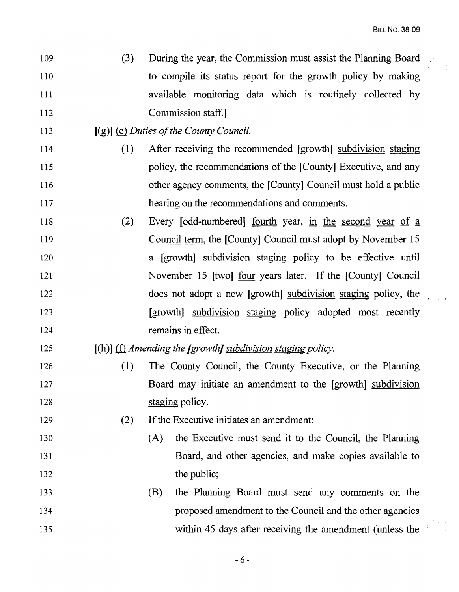- 109 (3) During the year, the Commission must assist the Planning Board 110 to compile its status report for the growth policy by making 111 available monitoring data which is routinely collected by 112 Commission staff.
- 113 [(g)] **(e)** *Duties of the County Council.*
- 114 (1) After receiving the recommended [growth] subdivision staging 115 policy, the recommendations of the [County] Executive, and any 116 **116** other agency comments, the [County] Council must hold a public 117 hearing on the recommendations and comments.
- 118 (2) Every [odd-numbered] fourth year, in the second year of a 119 Council term, the [County] Council must adopt by November 15 120 a [growth] subdivision staging policy to be effective until 121 November 15 [two] four years later. If the [County] Council 122 does not adopt a new [growth] subdivision staging policy, the 123 [growth] subdivision staging policy adopted most recently 124 remains in effect.
- 125 [(h)] (f) *Amending the [growth] subdivision staging policy.*
- 126 (1) The County Council, the County Executive, or the Planning 127 Board may initiate an amendment to the [growth] subdivision 128 staging policy.
- 129 (2) If the Executive initiates an amendment:
- 130 (A) the Executive must send it to the Council, the Planning 131 Board, and other agencies, and make copies available to 132 the public;
- 133 (B) the Planning Board must send any comments on the 134 proposed amendment to the Council and the other agencies 135 within 45 days after receiving the amendment (unless the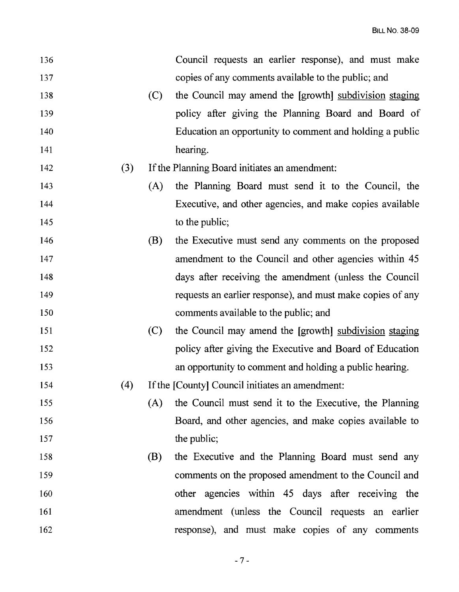| 136 |     |     | Council requests an earlier response), and must make       |
|-----|-----|-----|------------------------------------------------------------|
| 137 |     |     | copies of any comments available to the public; and        |
| 138 |     | (C) | the Council may amend the [growth] subdivision staging     |
| 139 |     |     | policy after giving the Planning Board and Board of        |
| 140 |     |     | Education an opportunity to comment and holding a public   |
| 141 |     |     | hearing.                                                   |
| 142 | (3) |     | If the Planning Board initiates an amendment:              |
| 143 |     | (A) | the Planning Board must send it to the Council, the        |
| 144 |     |     | Executive, and other agencies, and make copies available   |
| 145 |     |     | to the public;                                             |
| 146 |     | (B) | the Executive must send any comments on the proposed       |
| 147 |     |     | amendment to the Council and other agencies within 45      |
| 148 |     |     | days after receiving the amendment (unless the Council     |
| 149 |     |     | requests an earlier response), and must make copies of any |
| 150 |     |     | comments available to the public; and                      |
| 151 |     | (C) | the Council may amend the [growth] subdivision staging     |
| 152 |     |     | policy after giving the Executive and Board of Education   |
| 153 |     |     | an opportunity to comment and holding a public hearing.    |
| 154 | (4) |     | If the [County] Council initiates an amendment:            |
| 155 |     | (A) | the Council must send it to the Executive, the Planning    |
| 156 |     |     | Board, and other agencies, and make copies available to    |
| 157 |     |     | the public;                                                |
| 158 |     | (B) | the Executive and the Planning Board must send any         |
| 159 |     |     | comments on the proposed amendment to the Council and      |
| 160 |     |     | other agencies within 45 days after receiving the          |
| 161 |     |     | amendment (unless the Council requests an earlier          |
| 162 |     |     | response), and must make copies of any comments            |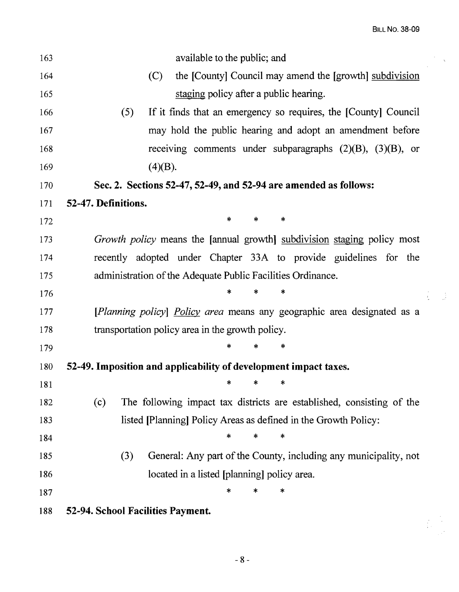| 163 | available to the public; and                                                 |          |
|-----|------------------------------------------------------------------------------|----------|
| 164 | (C)<br>the [County] Council may amend the [growth] subdivision               |          |
| 165 | staging policy after a public hearing.                                       |          |
| 166 | (5)<br>If it finds that an emergency so requires, the [County] Council       |          |
| 167 | may hold the public hearing and adopt an amendment before                    |          |
| 168 | receiving comments under subparagraphs $(2)(B)$ , $(3)(B)$ , or              |          |
| 169 | (4)(B).                                                                      |          |
| 170 | Sec. 2. Sections 52-47, 52-49, and 52-94 are amended as follows:             |          |
| 171 | 52-47. Definitions.                                                          |          |
| 172 | ∗<br>$\ast$<br>∗                                                             |          |
| 173 | Growth policy means the [annual growth] subdivision staging policy most      |          |
| 174 | recently adopted under Chapter 33A to provide guidelines for the             |          |
| 175 | administration of the Adequate Public Facilities Ordinance.                  |          |
| 176 | *                                                                            | $\sim 1$ |
| 177 | [Planning policy] Policy area means any geographic area designated as a      |          |
| 178 | transportation policy area in the growth policy.                             |          |
| 179 | $\ast$<br>*                                                                  |          |
| 180 | 52-49. Imposition and applicability of development impact taxes.             |          |
| 181 | *<br>ж<br>*                                                                  |          |
| 182 | The following impact tax districts are established, consisting of the<br>(c) |          |
| 183 | listed [Planning] Policy Areas as defined in the Growth Policy:              |          |
| 184 | *<br>*<br>*                                                                  |          |
| 185 | General: Any part of the County, including any municipality, not<br>(3)      |          |
| 186 | located in a listed [planning] policy area.                                  |          |
| 187 | *<br>*<br>*                                                                  |          |
| 188 | 52-94. School Facilities Payment.                                            |          |
|     |                                                                              |          |